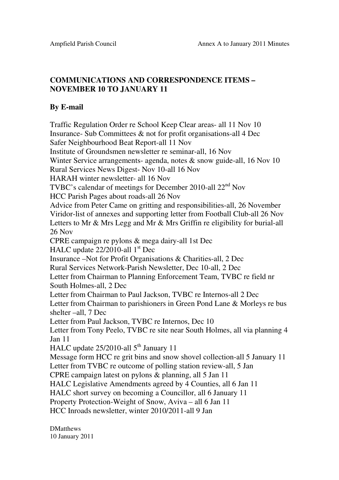## **COMMUNICATIONS AND CORRESPONDENCE ITEMS – NOVEMBER 10 TO JANUARY 11**

## **By E-mail**

Traffic Regulation Order re School Keep Clear areas- all 11 Nov 10 Insurance- Sub Committees & not for profit organisations-all 4 Dec Safer Neighbourhood Beat Report-all 11 Nov Institute of Groundsmen newsletter re seminar-all, 16 Nov Winter Service arrangements- agenda, notes & snow guide-all, 16 Nov 10 Rural Services News Digest- Nov 10-all 16 Nov HARAH winter newsletter- all 16 Nov TVBC's calendar of meetings for December 2010-all 22<sup>nd</sup> Nov HCC Parish Pages about roads-all 26 Nov Advice from Peter Came on gritting and responsibilities-all, 26 November Viridor-list of annexes and supporting letter from Football Club-all 26 Nov Letters to Mr & Mrs Legg and Mr & Mrs Griffin re eligibility for burial-all 26 Nov CPRE campaign re pylons & mega dairy-all 1st Dec HALC update 22/2010-all 1<sup>st</sup> Dec Insurance –Not for Profit Organisations & Charities-all, 2 Dec Rural Services Network-Parish Newsletter, Dec 10-all, 2 Dec Letter from Chairman to Planning Enforcement Team, TVBC re field nr South Holmes-all, 2 Dec Letter from Chairman to Paul Jackson, TVBC re Internos-all 2 Dec Letter from Chairman to parishioners in Green Pond Lane & Morleys re bus shelter –all, 7 Dec Letter from Paul Jackson, TVBC re Internos, Dec 10 Letter from Tony Peelo, TVBC re site near South Holmes, all via planning 4 Jan 11 HALC update  $25/2010$ -all  $5<sup>th</sup>$  January 11 Message form HCC re grit bins and snow shovel collection-all 5 January 11 Letter from TVBC re outcome of polling station review-all, 5 Jan CPRE campaign latest on pylons & planning, all 5 Jan 11 HALC Legislative Amendments agreed by 4 Counties, all 6 Jan 11 HALC short survey on becoming a Councillor, all 6 January 11 Property Protection-Weight of Snow, Aviva – all 6 Jan 11 HCC Inroads newsletter, winter 2010/2011-all 9 Jan

**DMatthews** 10 January 2011